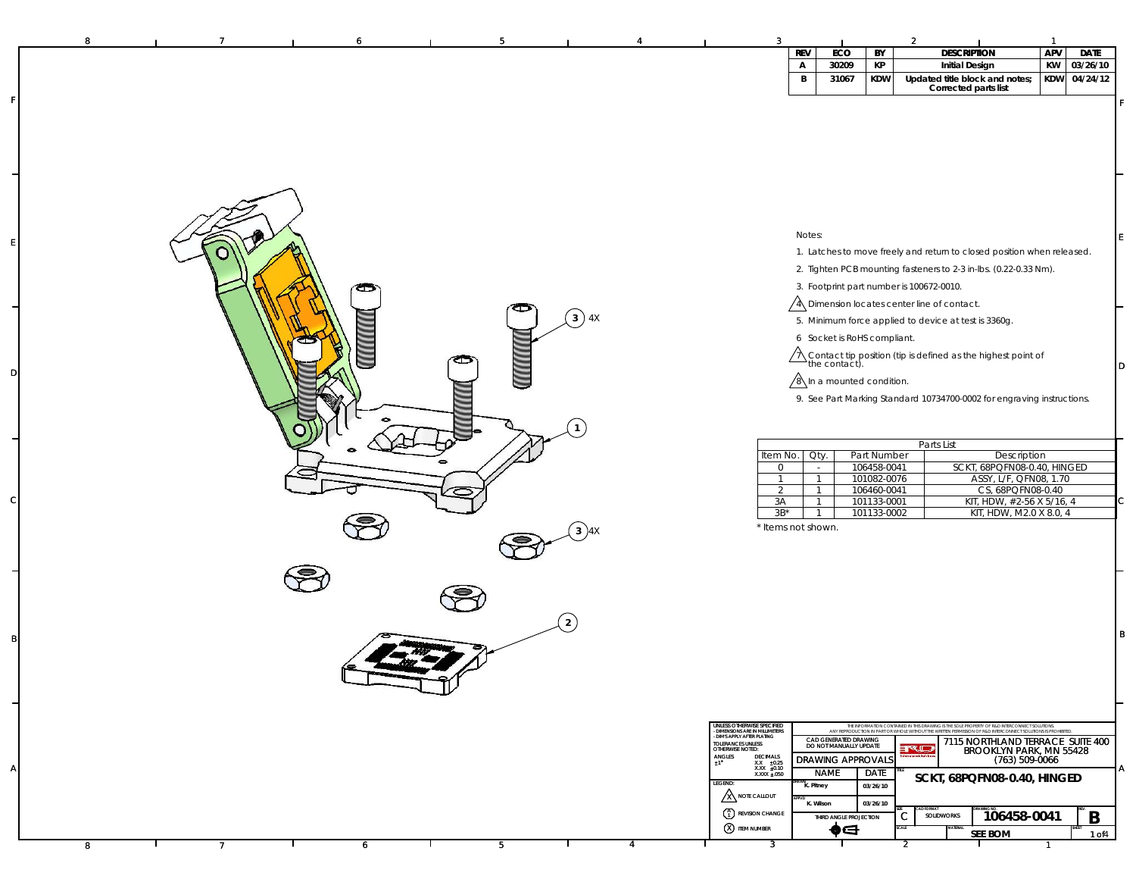| 8 |                |   |   |                |   | 3                                                                                           |                                |                                                 |                            | $\mathfrak{p}$                                                                                                                                                                                                |              |              |    |
|---|----------------|---|---|----------------|---|---------------------------------------------------------------------------------------------|--------------------------------|-------------------------------------------------|----------------------------|---------------------------------------------------------------------------------------------------------------------------------------------------------------------------------------------------------------|--------------|--------------|----|
|   |                |   |   |                |   |                                                                                             | <b>REV</b>                     | ECO                                             | BY                         | <b>DESCRIPTION</b>                                                                                                                                                                                            | APV          | <b>DATE</b>  |    |
|   |                |   |   |                |   |                                                                                             | А                              | 30209                                           | КP                         | <b>Initial Design</b>                                                                                                                                                                                         | KW           | 03/26/10     |    |
|   |                |   |   |                |   |                                                                                             | $\, {\bf B}$                   | 31067                                           | <b>KDW</b>                 | Updated title block and notes;<br>Corrected parts list                                                                                                                                                        |              | KDW 04/24/12 |    |
|   |                |   |   |                |   |                                                                                             |                                |                                                 |                            |                                                                                                                                                                                                               |              |              | F. |
|   |                |   |   |                |   |                                                                                             |                                |                                                 |                            |                                                                                                                                                                                                               |              |              |    |
|   |                |   |   |                |   |                                                                                             |                                |                                                 |                            |                                                                                                                                                                                                               |              |              |    |
|   |                |   |   |                |   |                                                                                             |                                |                                                 |                            |                                                                                                                                                                                                               |              |              |    |
|   |                |   |   |                |   |                                                                                             |                                |                                                 |                            |                                                                                                                                                                                                               |              |              |    |
|   |                |   |   |                |   |                                                                                             |                                |                                                 |                            |                                                                                                                                                                                                               |              |              |    |
|   |                |   |   |                |   |                                                                                             |                                |                                                 |                            |                                                                                                                                                                                                               |              |              |    |
|   |                |   |   |                |   |                                                                                             |                                |                                                 |                            |                                                                                                                                                                                                               |              |              |    |
|   |                |   |   |                |   |                                                                                             |                                |                                                 |                            |                                                                                                                                                                                                               |              |              |    |
|   |                |   |   |                |   |                                                                                             | Notes:                         |                                                 |                            |                                                                                                                                                                                                               |              |              | E. |
|   |                |   |   |                |   |                                                                                             |                                |                                                 |                            | 1. Latches to move freely and return to closed position when released.                                                                                                                                        |              |              |    |
|   |                |   |   |                |   |                                                                                             |                                |                                                 |                            |                                                                                                                                                                                                               |              |              |    |
|   |                |   |   |                |   |                                                                                             |                                |                                                 |                            | 2. Tighten PCB mounting fasteners to 2-3 in-lbs. (0.22-0.33 Nm).                                                                                                                                              |              |              |    |
|   |                |   |   |                |   |                                                                                             |                                |                                                 |                            | 3. Footprint part number is 100672-0010.                                                                                                                                                                      |              |              |    |
|   |                |   |   |                |   |                                                                                             |                                |                                                 |                            | A Dimension locates center line of contact.                                                                                                                                                                   |              |              |    |
|   |                |   |   | $(3)$ 4X       |   |                                                                                             |                                |                                                 |                            | 5. Minimum force applied to device at test is 3360g.                                                                                                                                                          |              |              |    |
|   |                |   |   |                |   |                                                                                             |                                | 6 Socket is RoHS compliant.                     |                            |                                                                                                                                                                                                               |              |              |    |
|   |                |   |   |                |   |                                                                                             |                                |                                                 |                            |                                                                                                                                                                                                               |              |              |    |
|   |                |   |   |                |   |                                                                                             |                                |                                                 |                            | $\bigwedge$ Contact tip position (tip is defined as the highest point of the contact).                                                                                                                        |              |              | D  |
|   |                |   |   |                |   |                                                                                             |                                | $\sqrt{8}$ In a mounted condition.              |                            |                                                                                                                                                                                                               |              |              |    |
|   |                |   |   |                |   |                                                                                             |                                |                                                 |                            | 9. See Part Marking Standard 10734700-0002 for engraving instructions.                                                                                                                                        |              |              |    |
|   |                |   |   |                |   |                                                                                             |                                |                                                 |                            |                                                                                                                                                                                                               |              |              |    |
|   |                |   |   |                |   |                                                                                             |                                |                                                 |                            |                                                                                                                                                                                                               |              |              |    |
|   |                |   |   |                |   |                                                                                             |                                |                                                 |                            |                                                                                                                                                                                                               |              |              |    |
|   |                |   |   |                |   | Item No.                                                                                    | Oty.                           |                                                 | Part Number                | Parts List<br>Description                                                                                                                                                                                     |              |              |    |
|   |                |   |   |                |   | $\overline{0}$                                                                              | $\sim$                         |                                                 | 106458-0041                | SCKT, 68PQFN08-0.40, HINGED                                                                                                                                                                                   |              |              |    |
|   |                |   |   |                |   | $\overline{1}$                                                                              | $\overline{1}$                 |                                                 | 101082-0076                | ASSY, L/F, QFN08, 1.70                                                                                                                                                                                        |              |              |    |
|   |                |   |   |                |   | $\overline{2}$<br>3A                                                                        | $\overline{1}$<br>$\mathbf{1}$ |                                                 | 106460-0041<br>101133-0001 | CS, 68PQFN08-0.40<br>KIT, HDW, #2-56 X 5/16, 4                                                                                                                                                                |              |              | C. |
|   |                |   |   |                |   | $3B^*$                                                                                      | $\overline{1}$                 |                                                 | 101133-0002                | KIT, HDW, M2.0 X 8.0, 4                                                                                                                                                                                       |              |              |    |
|   |                |   |   | $(3)$ 4X       |   |                                                                                             | * Items not shown.             |                                                 |                            |                                                                                                                                                                                                               |              |              |    |
|   |                |   |   |                |   |                                                                                             |                                |                                                 |                            |                                                                                                                                                                                                               |              |              |    |
|   |                |   |   |                |   |                                                                                             |                                |                                                 |                            |                                                                                                                                                                                                               |              |              |    |
|   |                |   |   |                |   |                                                                                             |                                |                                                 |                            |                                                                                                                                                                                                               |              |              |    |
|   |                |   |   |                |   |                                                                                             |                                |                                                 |                            |                                                                                                                                                                                                               |              |              |    |
|   |                |   |   |                |   |                                                                                             |                                |                                                 |                            |                                                                                                                                                                                                               |              |              |    |
|   |                |   |   |                |   |                                                                                             |                                |                                                 |                            |                                                                                                                                                                                                               |              |              |    |
|   |                |   |   | $\overline{2}$ |   |                                                                                             |                                |                                                 |                            |                                                                                                                                                                                                               |              |              | B  |
|   |                |   |   |                |   |                                                                                             |                                |                                                 |                            |                                                                                                                                                                                                               |              |              |    |
|   |                |   |   |                |   |                                                                                             |                                |                                                 |                            |                                                                                                                                                                                                               |              |              |    |
|   |                |   |   |                |   |                                                                                             |                                |                                                 |                            |                                                                                                                                                                                                               |              |              |    |
|   |                |   |   |                |   |                                                                                             |                                |                                                 |                            |                                                                                                                                                                                                               |              |              |    |
|   |                |   |   |                |   |                                                                                             |                                |                                                 |                            |                                                                                                                                                                                                               |              |              |    |
|   |                |   |   |                |   |                                                                                             |                                |                                                 |                            |                                                                                                                                                                                                               |              |              |    |
|   |                |   |   |                |   | UNLESS OTHERWISE SPECIFIED<br>- DIMENSIONS ARE IN MILLIMETERS<br>- DIMS APPLY AFTER PLATING |                                |                                                 |                            | THE INFORMATION CONTAINED IN THIS DRAWING IS THE SOLE PROPERTY OF R&D INTERCONNECT SOLUTIONS.<br>ANY REPRODUCTION IN PART OR WHOLE WITHOUT THE WRITERN PERMISSION OF R&D INTERCONNECT SOLUTIONS IS PROHIBITED |              |              |    |
|   |                |   |   |                |   | TOLERANCES UNLESS<br>OTHERWISE NOTED:                                                       |                                | CAD GENERATED DRAWING<br>DO NOT MANUALLY UPDATE |                            | 7115 NORTHLAND TERRACE SUITE 400<br>ruj<br>BROOKLYN PARK, MN 55428                                                                                                                                            |              |              |    |
|   |                |   |   |                |   | $ANGLES$<br>$\pm 1$<br><b>DECIMALS</b><br>XX 10.25<br>XXX 10.10<br>XXXX 1.050               |                                | DRAWING APPROVALS                               |                            | $(763)$ 509-0066                                                                                                                                                                                              |              |              |    |
|   |                |   |   |                |   | LEGEND:                                                                                     |                                | <b>NAME</b>                                     | DATE                       | SCKT, 68PQFN08-0.40, HINGED                                                                                                                                                                                   |              |              | A  |
|   |                |   |   |                |   | <b>X</b> NOTE CALLOUT                                                                       | K. Pitney                      |                                                 | 03/26/10                   |                                                                                                                                                                                                               |              |              |    |
|   |                |   |   |                |   | $\binom{A}{1}$ REVISION CHANGE                                                              | K. Wilson                      |                                                 | 03/26/10                   |                                                                                                                                                                                                               |              |              |    |
|   |                |   |   |                |   |                                                                                             |                                | THIRD ANGLE PROJECTION                          |                            | 106458-0041<br>SOLIDWORKS<br>С                                                                                                                                                                                |              | B            |    |
|   |                |   |   |                |   | <b>(X) ITEM NUMBER</b>                                                                      |                                | (d                                              |                            | SEE BOM                                                                                                                                                                                                       |              | 1 of 4       |    |
| 8 | $\overline{7}$ | 6 | 5 |                | 4 | $\overline{3}$                                                                              |                                |                                                 |                            | 2                                                                                                                                                                                                             | $\mathbf{1}$ |              |    |

F

E

D

C

B

A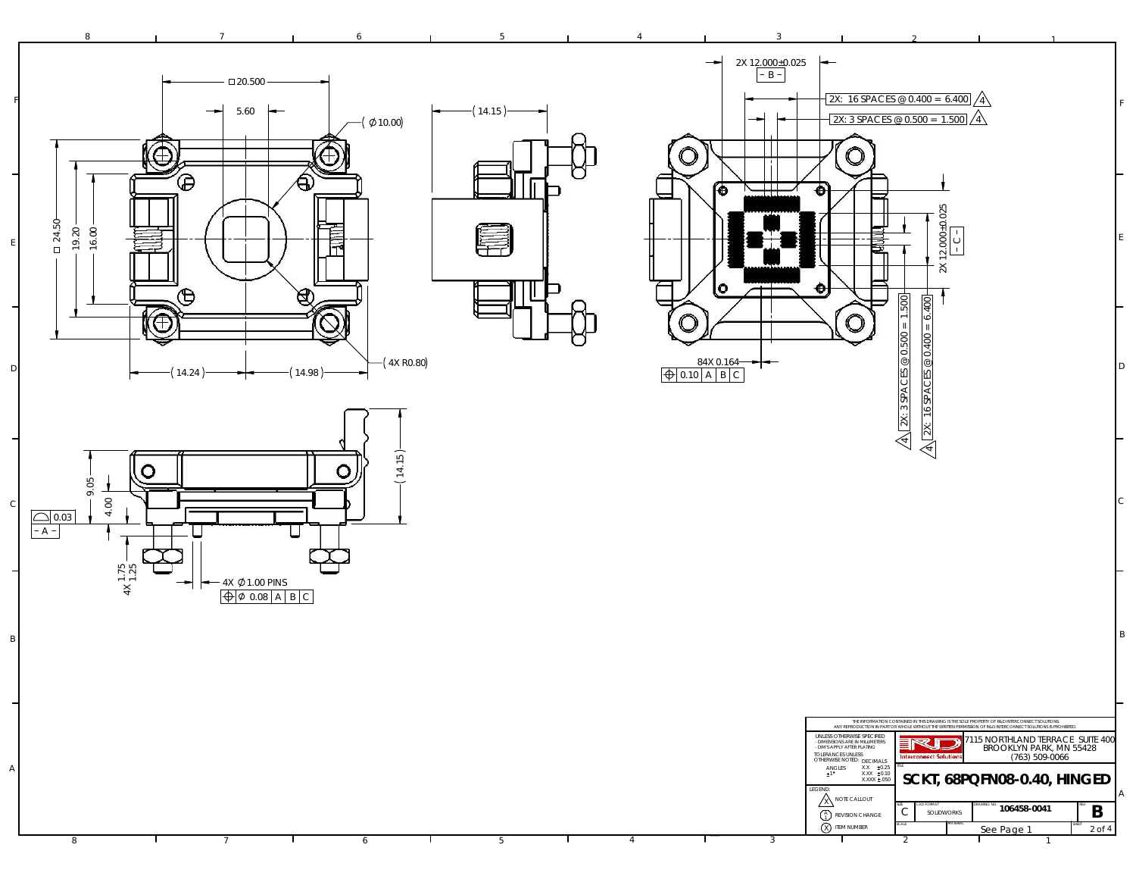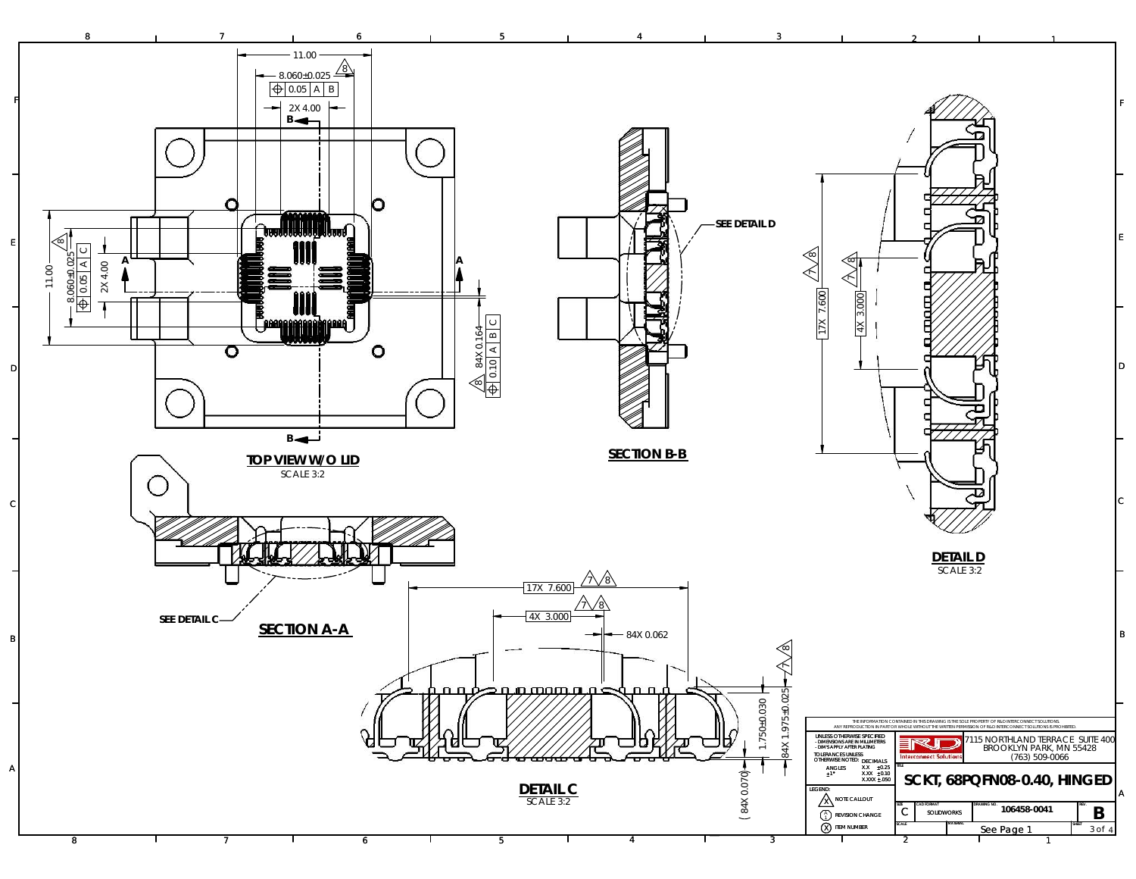